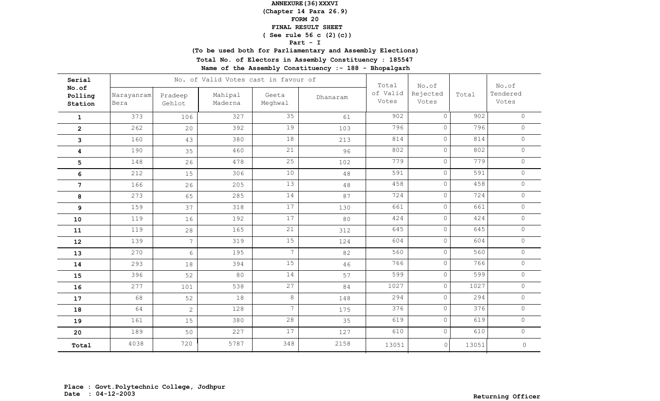**(Chapter 14 Para 26.9)**

### **FORM 20**

#### **FINAL RESULT SHEET**

## **( See rule 56 c (2)(c))**

### **Part - I**

**(To be used both for Parliamentary and Assembly Elections)**

**Total No. of Electors in Assembly Constituency : 185547**

| Serial                      |                    |                   | No. of Valid Votes cast in favour of |                  | Total    | No.of             |                   | No.of |                     |
|-----------------------------|--------------------|-------------------|--------------------------------------|------------------|----------|-------------------|-------------------|-------|---------------------|
| No.of<br>Polling<br>Station | Narayanram<br>Bera | Pradeep<br>Gehlot | Mahipal<br>Maderna                   | Geeta<br>Meghwal | Dhanaram | of Valid<br>Votes | Rejected<br>Votes | Total | Tendered<br>Votes   |
| $\mathbf{1}$                | 373                | 106               | 327                                  | 35               | 61       | 902               | $\Omega$          | 902   | $\circ$             |
| $\overline{2}$              | 262                | 20                | 392                                  | 19               | 103      | 796               | 0                 | 796   | $\circ$             |
| 3                           | 160                | 43                | 380                                  | 18               | 213      | 814               | $\circ$           | 814   | $\circ$             |
| 4                           | 190                | 35                | 460                                  | 21               | 96       | 802               | $\circ$           | 802   | $\circ$             |
| 5                           | 148                | 26                | 478                                  | 25               | 102      | 779               | $\circ$           | 779   | $\circ$             |
| 6                           | 212                | 15                | 306                                  | $10$             | $4\,8$   | 591               | $\circ$           | 591   | $\circ$             |
| $\overline{7}$              | 166                | 26                | 205                                  | 13               | 48       | 458               | $\circ$           | 458   | $\circ$             |
| 8                           | 273                | 65                | 285                                  | 14               | 87       | 724               | $\circ$           | 724   | $\circ$             |
| 9                           | 159                | 37                | 318                                  | 17               | 130      | 661               | $\circ$           | 661   | $\circledcirc$      |
| 10                          | 119                | 16                | 192                                  | 17               | 80       | 424               | $\circ$           | 424   | $\circ$             |
| 11                          | 119                | 28                | 165                                  | 21               | 312      | 645               | $\circ$           | 645   | $\circ$             |
| 12                          | 139                | $7\overline{ }$   | 319                                  | $15\,$           | 124      | 604               | $\circ$           | 604   | $\circ$             |
| 13                          | 270                | $6\,$             | 195                                  | $7\overline{ }$  | 82       | 560               | $\circ$           | 560   | $\circ$             |
| 14                          | 293                | 18                | 394                                  | 15               | 46       | 766               | $\circ$           | 766   | $\circ$             |
| 15                          | 396                | 52                | 80                                   | 14               | 57       | 599               | $\circ$           | 599   | $\circ$             |
| 16                          | 277                | 101               | 538                                  | 27               | 84       | 1027              | $\circ$           | 1027  | $\circ$             |
| 17                          | 68                 | 52                | 18                                   | $8\,$            | 148      | 294               | $\circ$           | 294   | $\circledcirc$      |
| 18                          | 64                 | $\overline{2}$    | 128                                  | $7\overline{ }$  | 175      | 376               | $\circ$           | 376   | $\circ$             |
| 19                          | 161                | 15                | 380                                  | 28               | 35       | 619               | $\circ$           | 619   | $\circ$             |
| 20                          | 189                | 50                | 227                                  | 17               | 127      | 610               | $\circ$           | 610   | $\circ$             |
| Total                       | 4038               | 720               | 5787                                 | 348              | 2158     | 13051             | $\circ$           | 13051 | $\mathsf{O}\xspace$ |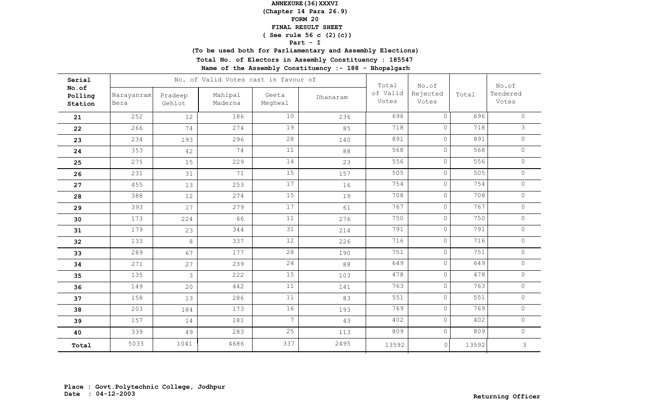**(Chapter 14 Para 26.9)**

## **FORM 20**

#### **FINAL RESULT SHEET**

## **( See rule 56 c (2)(c))**

### **Part - I**

**(To be used both for Parliamentary and Assembly Elections)**

**Total No. of Electors in Assembly Constituency : 185547**

| Serial                      |                    |                   | No. of Valid Votes cast in favour of |                  |          | Total             | No.of             |       | No.of             |
|-----------------------------|--------------------|-------------------|--------------------------------------|------------------|----------|-------------------|-------------------|-------|-------------------|
| No.of<br>Polling<br>Station | Narayanram<br>Bera | Pradeep<br>Gehlot | Mahipal<br>Maderna                   | Geeta<br>Meghwal | Dhanaram | of Valid<br>Votes | Rejected<br>Votes | Total | Tendered<br>Votes |
| 21                          | 252                | 12                | 186                                  | 10               | 236      | 696               | $\Omega$          | 696   | $\circ$           |
| 22                          | 266                | 74                | 274                                  | 19               | 85       | 718               | $\circ$           | 718   | $\mathfrak{Z}$    |
| 23                          | 234                | 193               | 296                                  | 28               | 140      | 891               | $\circ$           | 891   | $\circ$           |
| 24                          | 353                | 42                | 74                                   | 11               | 88       | 568               | $\circ$           | 568   | $\circ$           |
| 25                          | 275                | 15                | 229                                  | 14               | 23       | 556               | $\circ$           | 556   | $\circ$           |
| 26                          | 231                | 31                | 71                                   | 15               | 157      | 505               | $\circ$           | 505   | $\circ$           |
| 27                          | 455                | 13                | 253                                  | 17               | 16       | 754               | $\circ$           | 754   | $\circ$           |
| 28                          | 388                | 12                | 274                                  | 15               | 19       | 708               | $\circ$           | 708   | $\circ$           |
| 29                          | 393                | 17                | 279                                  | 17               | 61       | 767               | $\circ$           | 767   | $\circ$           |
| 30                          | 173                | 224               | 66                                   | $11$             | 276      | 750               | $\circ$           | 750   | $\circ$           |
| 31                          | 179                | 23                | 344                                  | 31               | 214      | 791               | $\circ$           | 791   | $\circ$           |
| 32                          | 133                | $\,8\,$           | 337                                  | 12               | 226      | 716               | $\overline{0}$    | 716   | $\circ$           |
| 33                          | 289                | 67                | 177                                  | 28               | 190      | 751               | $\circ$           | 751   | $\circ$           |
| 34                          | 271                | 27                | 239                                  | 24               | 88       | 649               | $\circ$           | 649   | $\circ$           |
| 35                          | 135                | 3                 | 222                                  | 15               | 103      | 478               | $\circ$           | 478   | $\circ$           |
| 36                          | 149                | 20                | 442                                  | 11               | 141      | 763               | $\circ$           | 763   | $\circ$           |
| 37                          | 158                | 13                | 286                                  | 11               | 83       | 551               | $\circ$           | 551   | $\circ$           |
| 38                          | 203                | 184               | 173                                  | 16               | 193      | 769               | $\circ$           | 769   | $\circ$           |
| 39                          | 157                | 14                | 181                                  | $\overline{7}$   | 43       | 402               | $\circ$           | 402   | $\circ$           |
| 40                          | 339                | 49                | 283                                  | 25               | 113      | 809               | $\circ$           | 809   | $\circ$           |
| Total                       | 5033               | 1041              | 4686                                 | 337              | 2495     | 13592             | $\circ$           | 13592 | 3                 |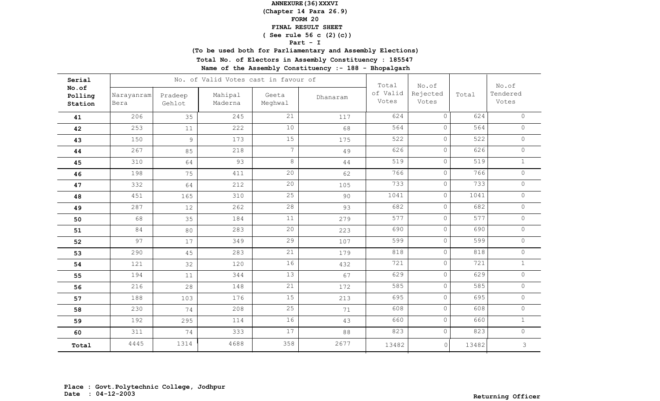**(Chapter 14 Para 26.9)**

### **FORM 20**

#### **FINAL RESULT SHEET**

## **( See rule 56 c (2)(c))**

### **Part - I**

**(To be used both for Parliamentary and Assembly Elections)**

**Total No. of Electors in Assembly Constituency : 185547**

| Serial                      |                    |                   | No. of Valid Votes cast in favour of | Total            | No.of    |                   | No.of             |       |                   |
|-----------------------------|--------------------|-------------------|--------------------------------------|------------------|----------|-------------------|-------------------|-------|-------------------|
| No.of<br>Polling<br>Station | Narayanram<br>Bera | Pradeep<br>Gehlot | Mahipal<br>Maderna                   | Geeta<br>Meghwal | Dhanaram | of Valid<br>Votes | Rejected<br>Votes | Total | Tendered<br>Votes |
| 41                          | 206                | 35                | 245                                  | 21               | 117      | 624               | $\overline{0}$    | 624   | $\circ$           |
| 42                          | 253                | 11                | 222                                  | 10               | 68       | 564               | $\circ$           | 564   | $\circ$           |
| 43                          | 150                | 9                 | 173                                  | 15               | 175      | 522               | $\circ$           | 522   | $\circ$           |
| 44                          | 267                | 85                | 218                                  | $7\phantom{.}$   | 49       | 626               | $\circ$           | 626   | $\circ$           |
| 45                          | 310                | 64                | 93                                   | $8\,$            | 44       | 519               | $\circ$           | 519   | $\mathbf{1}$      |
| 46                          | 198                | 75                | 411                                  | 20               | 62       | 766               | $\circ$           | 766   | $\circ$           |
| 47                          | 332                | 64                | 212                                  | 20               | 105      | 733               | $\circ$           | 733   | $\circ$           |
| 48                          | 451                | 165               | 310                                  | 25               | 90       | 1041              | $\circ$           | 1041  | $\circ$           |
| 49                          | 287                | 12                | 262                                  | 28               | 93       | 682               | $\circ$           | 682   | $\circledcirc$    |
| 50                          | 68                 | 35                | 184                                  | 11               | 279      | 577               | $\circ$           | 577   | $\circ$           |
| 51                          | 84                 | 80                | 283                                  | 20               | 223      | 690               | $\circ$           | 690   | $\circ$           |
| 52                          | 97                 | 17                | 349                                  | 29               | 107      | 599               | $\circ$           | 599   | $\mathbf 0$       |
| 53                          | 290                | 45                | 283                                  | 21               | 179      | 818               | $\circ$           | 818   | $\circ$           |
| 54                          | 121                | 32                | 120                                  | 16               | 432      | 721               | $\circ$           | 721   | $\mathbf{1}$      |
| 55                          | 194                | 11                | 344                                  | 13               | 67       | 629               | $\circ$           | 629   | $\circ$           |
| 56                          | 216                | 28                | 148                                  | 21               | 172      | 585               | $\circ$           | 585   | $\circ$           |
| 57                          | 188                | 103               | 176                                  | 15               | 213      | 695               | $\circ$           | 695   | $\circ$           |
| 58                          | 230                | 74                | 208                                  | 25               | 71       | 608               | $\circ$           | 608   | $\circ$           |
| 59                          | 192                | 295               | 114                                  | 16               | 43       | 660               | $\circ$           | 660   | $\mathbf{1}$      |
| 60                          | 311                | 74                | 333                                  | 17               | 88       | 823               | $\circ$           | 823   | $\circ$           |
| Total                       | 4445               | 1314              | 4688                                 | 358              | 2677     | 13482             | $\circ$           | 13482 | 3                 |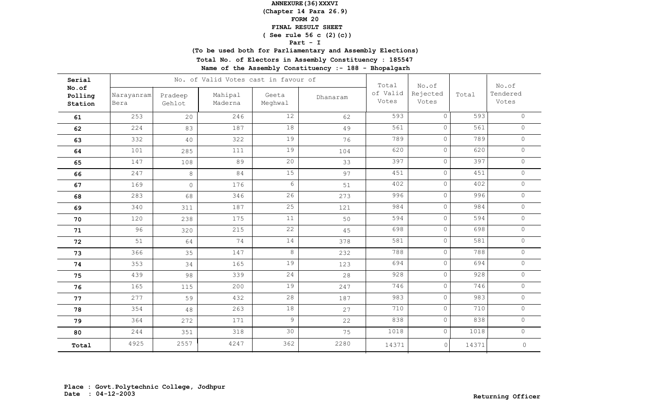**(Chapter 14 Para 26.9)**

## **FORM 20**

#### **FINAL RESULT SHEET**

## **( See rule 56 c (2)(c))**

### **Part - I**

**(To be used both for Parliamentary and Assembly Elections)**

**Total No. of Electors in Assembly Constituency : 185547**

| Serial                      |                    |                   | No. of Valid Votes cast in favour of | Total            | No.of    |                   | No.of             |       |                     |
|-----------------------------|--------------------|-------------------|--------------------------------------|------------------|----------|-------------------|-------------------|-------|---------------------|
| No.of<br>Polling<br>Station | Narayanram<br>Bera | Pradeep<br>Gehlot | Mahipal<br>Maderna                   | Geeta<br>Meghwal | Dhanaram | of Valid<br>Votes | Rejected<br>Votes | Total | Tendered<br>Votes   |
| 61                          | 253                | 20                | 246                                  | 12               | 62       | 593               | $\Omega$          | 593   | $\Omega$            |
| 62                          | 224                | 83                | 187                                  | 18               | 49       | 561               | $\circ$           | 561   | $\circ$             |
| 63                          | 332                | 40                | 322                                  | 19               | 76       | 789               | $\circ$           | 789   | $\circ$             |
| 64                          | 101                | 285               | 111                                  | 19               | 104      | 620               | $\circ$           | 620   | $\circ$             |
| 65                          | 147                | 108               | 89                                   | 20               | 33       | 397               | $\circ$           | 397   | $\circ$             |
| 66                          | 247                | $\,8\,$           | 84                                   | 15               | 97       | 451               | $\circ$           | 451   | $\circ$             |
| 67                          | 169                | $\circ$           | 176                                  | 6                | 51       | 402               | $\circ$           | 402   | $\circ$             |
| 68                          | 283                | 68                | 346                                  | 26               | 273      | 996               | $\circ$           | 996   | $\circ$             |
| 69                          | 340                | 311               | 187                                  | 25               | 121      | 984               | $\circ$           | 984   | $\circ$             |
| 70                          | 120                | 238               | 175                                  | 11               | 50       | 594               | $\circ$           | 594   | $\circ$             |
| 71                          | 96                 | 320               | 215                                  | 22               | 45       | 698               | $\circ$           | 698   | $\circledcirc$      |
| 72                          | 51                 | 64                | 74                                   | 14               | 378      | 581               | $\circ$           | 581   | $\circ$             |
| 73                          | 366                | 35                | 147                                  | 8                | 232      | 788               | $\circ$           | 788   | $\circledcirc$      |
| 74                          | 353                | 34                | 165                                  | 19               | 123      | 694               | $\circ$           | 694   | $\circ$             |
| 75                          | 439                | 98                | 339                                  | 24               | 28       | 928               | $\circ$           | 928   | $\circledcirc$      |
| 76                          | 165                | 115               | 200                                  | 19               | 247      | 746               | $\circ$           | 746   | $\circ$             |
| 77                          | 277                | 59                | 432                                  | 28               | 187      | 983               | $\circ$           | 983   | $\circ$             |
| 78                          | 354                | 48                | 263                                  | 18               | 27       | 710               | $\circ$           | 710   | $\circ$             |
| 79                          | 364                | 272               | 171                                  | $\overline{9}$   | 22       | 838               | $\circ$           | 838   | $\circ$             |
| 80                          | 244                | 351               | 318                                  | 30               | 75       | 1018              | $\circ$           | 1018  | $\circ$             |
| Total                       | 4925               | 2557              | 4247                                 | 362              | 2280     | 14371             | $\circ$           | 14371 | $\mathsf{O}\xspace$ |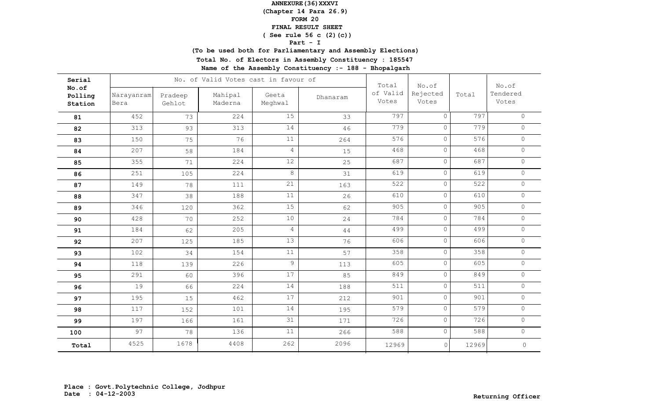**(Chapter 14 Para 26.9)**

## **FORM 20**

#### **FINAL RESULT SHEET**

## **( See rule 56 c (2)(c))**

### **Part - I**

**(To be used both for Parliamentary and Assembly Elections)**

**Total No. of Electors in Assembly Constituency : 185547**

| Serial                      |                    |                   | No. of Valid Votes cast in favour of |                  |          | Total             | No.of             |       | No.of               |
|-----------------------------|--------------------|-------------------|--------------------------------------|------------------|----------|-------------------|-------------------|-------|---------------------|
| No.of<br>Polling<br>Station | Narayanram<br>Bera | Pradeep<br>Gehlot | Mahipal<br>Maderna                   | Geeta<br>Meghwal | Dhanaram | of Valid<br>Votes | Rejected<br>Votes | Total | Tendered<br>Votes   |
| 81                          | 452                | 73                | 224                                  | 15               | 33       | 797               | $\Omega$          | 797   | $\circ$             |
| 82                          | 313                | 93                | 313                                  | 14               | 46       | 779               | $\circ$           | 779   | $\circ$             |
| 83                          | 150                | 75                | 76                                   | 11               | 264      | 576               | $\circ$           | 576   | $\circ$             |
| 84                          | 207                | 58                | 184                                  | $\overline{4}$   | 15       | 468               | $\circ$           | 468   | $\circ$             |
| 85                          | 355                | 71                | 224                                  | 12               | 25       | 687               | $\circ$           | 687   | $\circ$             |
| 86                          | 251                | 105               | 224                                  | $\,8\,$          | 31       | 619               | $\circ$           | 619   | $\circ$             |
| 87                          | 149                | 78                | 111                                  | 21               | 163      | 522               | $\circ$           | 522   | $\circ$             |
| 88                          | 347                | 38                | 188                                  | 11               | 26       | 610               | $\circ$           | 610   | $\circ$             |
| 89                          | 346                | 120               | 362                                  | 15               | 62       | 905               | $\circ$           | 905   | $\circ$             |
| 90                          | 428                | 70                | 252                                  | $10$             | 24       | 784               | $\circ$           | 784   | $\circ$             |
| 91                          | 184                | 62                | 205                                  | $\overline{4}$   | 44       | 499               | $\circ$           | 499   | $\circ$             |
| 92                          | 207                | 125               | 185                                  | 13               | 76       | 606               | $\circ$           | 606   | $\circ$             |
| 93                          | 102                | 34                | 154                                  | 11               | 57       | 358               | $\circ$           | 358   | $\circledcirc$      |
| 94                          | 118                | 139               | 226                                  | $\mathcal{G}$    | 113      | 605               | $\circ$           | 605   | $\circ$             |
| 95                          | 291                | 60                | 396                                  | 17               | 85       | 849               | $\circ$           | 849   | $\circledcirc$      |
| 96                          | 19                 | 66                | 224                                  | 14               | 188      | 511               | $\circ$           | 511   | $\circ$             |
| 97                          | 195                | 15                | 462                                  | 17               | 212      | 901               | $\circ$           | 901   | $\circ$             |
| 98                          | 117                | 152               | 101                                  | 14               | 195      | 579               | $\circ$           | 579   | $\circ$             |
| 99                          | 197                | 166               | 161                                  | 31               | 171      | 726               | $\circ$           | 726   | $\circ$             |
| 100                         | 97                 | 78                | 136                                  | 11               | 266      | 588               | $\circ$           | 588   | $\circ$             |
| Total                       | 4525               | 1678              | 4408                                 | 262              | 2096     | 12969             | $\circ$           | 12969 | $\mathsf{O}\xspace$ |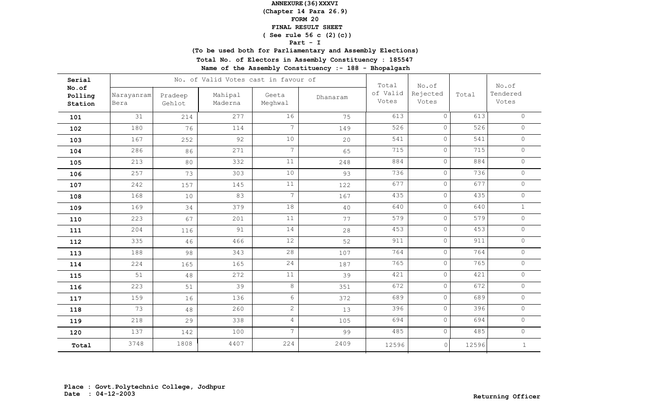**(Chapter 14 Para 26.9)**

### **FORM 20**

#### **FINAL RESULT SHEET**

## **( See rule 56 c (2)(c))**

### **Part - I**

**(To be used both for Parliamentary and Assembly Elections)**

**Total No. of Electors in Assembly Constituency : 185547**

| Serial                      |                    |                   | No. of Valid Votes cast in favour of |                  |          | Total             | No.of             |       | No.of             |
|-----------------------------|--------------------|-------------------|--------------------------------------|------------------|----------|-------------------|-------------------|-------|-------------------|
| No.of<br>Polling<br>Station | Narayanram<br>Bera | Pradeep<br>Gehlot | Mahipal<br>Maderna                   | Geeta<br>Meghwal | Dhanaram | of Valid<br>Votes | Rejected<br>Votes | Total | Tendered<br>Votes |
| 101                         | 31                 | 214               | 277                                  | 16               | 75       | 613               | $\Omega$          | 613   | $\circ$           |
| 102                         | 180                | 76                | 114                                  | $7\overline{ }$  | 149      | 526               | $\circ$           | 526   | $\circ$           |
| 103                         | 167                | 252               | 92                                   | $10$             | 20       | 541               | $\circ$           | 541   | $\circ$           |
| 104                         | 286                | 86                | 271                                  | $7\overline{ }$  | 65       | 715               | $\circ$           | 715   | $\circ$           |
| 105                         | 213                | 80                | 332                                  | 11               | 248      | 884               | $\Omega$          | 884   | $\circ$           |
| 106                         | 257                | 73                | 303                                  | $10$             | 93       | 736               | $\circ$           | 736   | $\circ$           |
| 107                         | 242                | 157               | 145                                  | 11               | 122      | 677               | $\circ$           | 677   | $\circ$           |
| 108                         | 168                | 10                | 83                                   | $7\overline{ }$  | 167      | 435               | $\circ$           | 435   | $\circ$           |
| 109                         | 169                | 34                | 379                                  | 18               | 40       | 640               | $\circ$           | 640   | $\mathbf{1}$      |
| 110                         | 223                | 67                | 201                                  | 11               | 77       | 579               | $\circ$           | 579   | $\circ$           |
| 111                         | 204                | 116               | 91                                   | 14               | 28       | 453               | $\circ$           | 453   | $\circ$           |
| 112                         | 335                | 46                | 466                                  | 12               | 52       | 911               | $\circ$           | 911   | $\circ$           |
| 113                         | 188                | 98                | 343                                  | 28               | 107      | 764               | $\circ$           | 764   | $\circ$           |
| 114                         | 224                | 165               | 165                                  | 24               | 187      | 765               | $\circ$           | 765   | $\circ$           |
| 115                         | 51                 | 48                | 272                                  | 11               | 39       | 421               | $\circ$           | 421   | $\circ$           |
| 116                         | 223                | 51                | 39                                   | 8                | 351      | 672               | $\circ$           | 672   | $\circ$           |
| 117                         | 159                | 16                | 136                                  | $6\phantom{.0}$  | 372      | 689               | $\circ$           | 689   | $\circ$           |
| 118                         | 73                 | 48                | 260                                  | $\overline{2}$   | 13       | 396               | $\circ$           | 396   | $\circ$           |
| 119                         | 218                | 29                | 338                                  | $\overline{4}$   | 105      | 694               | $\circ$           | 694   | $\circ$           |
| 120                         | 137                | 142               | 100                                  | $7\overline{ }$  | 99       | 485               | $\circ$           | 485   | $\circ$           |
| Total                       | 3748               | 1808              | 4407                                 | 224              | 2409     | 12596             | $\circ$           | 12596 | $\mathbf{1}$      |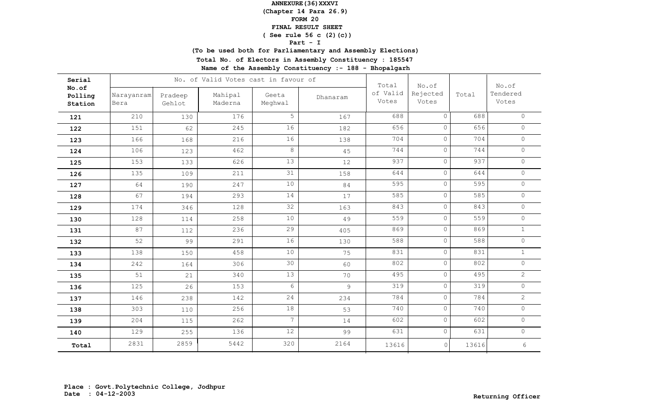**(Chapter 14 Para 26.9)**

### **FORM 20**

#### **FINAL RESULT SHEET**

## **( See rule 56 c (2)(c))**

### **Part - I**

**(To be used both for Parliamentary and Assembly Elections)**

**Total No. of Electors in Assembly Constituency : 185547**

| Serial                      |                    |                   | No. of Valid Votes cast in favour of |                  |          | Total             | No.of             |       | No.of             |
|-----------------------------|--------------------|-------------------|--------------------------------------|------------------|----------|-------------------|-------------------|-------|-------------------|
| No.of<br>Polling<br>Station | Narayanram<br>Bera | Pradeep<br>Gehlot | Mahipal<br>Maderna                   | Geeta<br>Meghwal | Dhanaram | of Valid<br>Votes | Rejected<br>Votes | Total | Tendered<br>Votes |
| 121                         | 210                | 130               | 176                                  | 5                | 167      | 688               | $\Omega$          | 688   | $\circ$           |
| 122                         | 151                | 62                | 245                                  | 16               | 182      | 656               | $\circ$           | 656   | $\circ$           |
| 123                         | 166                | 168               | 216                                  | 16               | 138      | 704               | $\circ$           | 704   | $\circ$           |
| 124                         | 106                | 123               | 462                                  | $\,8\,$          | 45       | 744               | $\circ$           | 744   | $\circ$           |
| 125                         | 153                | 133               | 626                                  | 13               | 12       | 937               | $\Omega$          | 937   | $\circ$           |
| 126                         | 135                | 109               | 211                                  | 31               | 158      | 644               | $\circ$           | 644   | $\circ$           |
| 127                         | 64                 | 190               | 247                                  | 10               | 84       | 595               | $\circ$           | 595   | $\circ$           |
| 128                         | 67                 | 194               | 293                                  | 14               | $17$     | 585               | $\circ$           | 585   | $\circ$           |
| 129                         | 174                | 346               | 128                                  | 32               | 163      | 843               | $\circ$           | 843   | $\circ$           |
| 130                         | 128                | 114               | 258                                  | $10$             | 49       | 559               | $\circ$           | 559   | $\circ$           |
| 131                         | 87                 | 112               | 236                                  | 29               | 405      | 869               | $\circ$           | 869   | $\mathbf{1}$      |
| 132                         | 52                 | 99                | 291                                  | 16               | 130      | 588               | $\circ$           | 588   | $\circ$           |
| 133                         | 138                | 150               | 458                                  | 10               | 75       | 831               | $\circ$           | 831   | $\mathbf{1}$      |
| 134                         | 242                | 164               | 306                                  | 30               | 60       | 802               | $\circ$           | 802   | $\circ$           |
| 135                         | 51                 | 21                | 340                                  | 13               | 70       | 495               | $\circ$           | 495   | $\mathbf{2}$      |
| 136                         | 125                | 26                | 153                                  | $6\,$            | 9        | 319               | $\circ$           | 319   | $\circ$           |
| 137                         | 146                | 238               | 142                                  | 24               | 234      | 784               | $\circ$           | 784   | $\overline{2}$    |
| 138                         | 303                | 110               | 256                                  | 18               | 53       | 740               | $\circ$           | 740   | $\circ$           |
| 139                         | 204                | 115               | 262                                  | $7\overline{ }$  | 14       | 602               | $\circ$           | 602   | $\circ$           |
| 140                         | 129                | 255               | 136                                  | 12               | 99       | 631               | $\circ$           | 631   | $\circ$           |
| Total                       | 2831               | 2859              | 5442                                 | 320              | 2164     | 13616             | $\circ$           | 13616 | $\epsilon$        |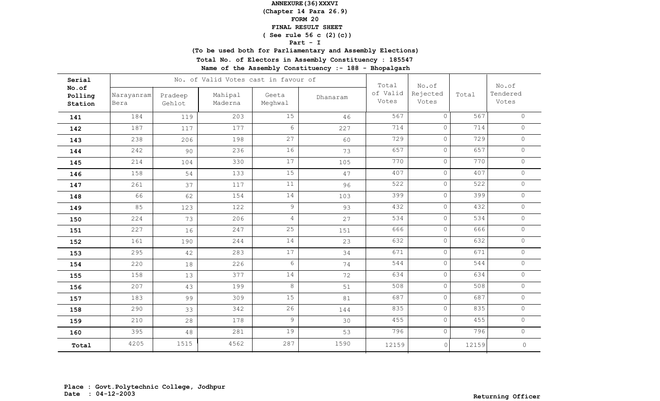**(Chapter 14 Para 26.9)**

## **FORM 20**

#### **FINAL RESULT SHEET**

## **( See rule 56 c (2)(c))**

### **Part - I**

**(To be used both for Parliamentary and Assembly Elections)**

**Total No. of Electors in Assembly Constituency : 185547**

| Serial                      |                    |                   | No. of Valid Votes cast in favour of | Total            | No.of    |                   | No.of             |       |                     |
|-----------------------------|--------------------|-------------------|--------------------------------------|------------------|----------|-------------------|-------------------|-------|---------------------|
| No.of<br>Polling<br>Station | Narayanram<br>Bera | Pradeep<br>Gehlot | Mahipal<br>Maderna                   | Geeta<br>Meghwal | Dhanaram | of Valid<br>Votes | Rejected<br>Votes | Total | Tendered<br>Votes   |
| 141                         | 184                | 119               | 203                                  | 15               | 46       | 567               | $\circ$           | 567   | $\circ$             |
| 142                         | 187                | 117               | 177                                  | $6\phantom{.}6$  | 227      | 714               | $\circ$           | 714   | $\circ$             |
| 143                         | 238                | 206               | 198                                  | 27               | 60       | 729               | $\circ$           | 729   | $\circ$             |
| 144                         | 242                | 90                | 236                                  | 16               | 73       | 657               | $\circ$           | 657   | $\circ$             |
| 145                         | 214                | 104               | 330                                  | $17$             | 105      | 770               | $\circ$           | 770   | $\circ$             |
| 146                         | 158                | 54                | 133                                  | 15               | 47       | 407               | $\circ$           | 407   | $\circ$             |
| 147                         | 261                | 37                | 117                                  | $11$             | 96       | 522               | $\circ$           | 522   | $\circ$             |
| 148                         | 66                 | 62                | 154                                  | 14               | 103      | 399               | $\circ$           | 399   | $\circ$             |
| 149                         | 85                 | 123               | 122                                  | $\overline{9}$   | 93       | 432               | $\circ$           | 432   | $\circ$             |
| 150                         | 224                | 73                | 206                                  | $\overline{4}$   | 27       | 534               | $\circ$           | 534   | $\circ$             |
| 151                         | 227                | 16                | 247                                  | 25               | 151      | 666               | $\circ$           | 666   | $\circledcirc$      |
| 152                         | 161                | 190               | 244                                  | 14               | 23       | 632               | $\circ$           | 632   | $\circ$             |
| 153                         | 295                | 42                | 283                                  | 17               | 34       | 671               | $\circledcirc$    | 671   | $\circ$             |
| 154                         | 220                | 18                | 226                                  | 6                | 74       | 544               | $\circ$           | 544   | $\circ$             |
| 155                         | 158                | 13                | 377                                  | 14               | 72       | 634               | $\circ$           | 634   | $\circ$             |
| 156                         | 207                | 43                | 199                                  | 8                | 51       | 508               | $\circ$           | 508   | $\circ$             |
| 157                         | 183                | 99                | 309                                  | 15               | 81       | 687               | $\circ$           | 687   | $\circ$             |
| 158                         | 290                | 33                | 342                                  | 26               | 144      | 835               | $\circ$           | 835   | $\circ$             |
| 159                         | 210                | 28                | 178                                  | $\overline{9}$   | 30       | 455               | $\circ$           | 455   | $\circ$             |
| 160                         | 395                | $4\,8$            | 281                                  | 19               | 53       | 796               | $\circ$           | 796   | $\circ$             |
| Total                       | 4205               | 1515              | 4562                                 | 287              | 1590     | 12159             | 0                 | 12159 | $\mathsf{O}\xspace$ |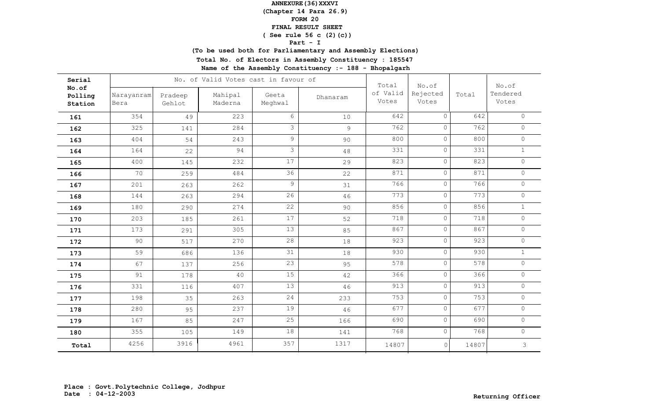**(Chapter 14 Para 26.9)**

### **FORM 20**

#### **FINAL RESULT SHEET**

## **( See rule 56 c (2)(c))**

### **Part - I**

**(To be used both for Parliamentary and Assembly Elections)**

**Total No. of Electors in Assembly Constituency : 185547**

| Total<br>No.of<br>No.of<br>of Valid<br>Rejected<br>Total<br>Mahipal<br>Narayanram<br>Geeta<br>Pradeep<br>Polling<br>Dhanaram<br>Votes<br>Votes<br>Meghwal<br>Maderna<br>Bera<br>Gehlot | No.of<br>Tendered<br>Votes |
|----------------------------------------------------------------------------------------------------------------------------------------------------------------------------------------|----------------------------|
| Station                                                                                                                                                                                |                            |
| 6<br>642<br>$\Omega$<br>354<br>223<br>10<br>49<br>161                                                                                                                                  | 642<br>$\circ$             |
| 3<br>762<br>325<br>284<br>$\circ$<br>9<br>141<br>162                                                                                                                                   | 762<br>$\circ$             |
| 9<br>800<br>$\circ$<br>404<br>243<br>90<br>54<br>163                                                                                                                                   | 800<br>$\circ$             |
| $\mathfrak{Z}$<br>331<br>$\circ$<br>94<br>164<br>22<br>48<br>164                                                                                                                       | 331<br>$\mathbf{1}$        |
| 17<br>823<br>$\circ$<br>400<br>232<br>145<br>29<br>165                                                                                                                                 | 823<br>$\circ$             |
| 36<br>871<br>$\circ$<br>70<br>484<br>259<br>22<br>166                                                                                                                                  | 871<br>$\circ$             |
| 9<br>766<br>$\circ$<br>262<br>201<br>263<br>31<br>167                                                                                                                                  | 766<br>$\circ$             |
| 26<br>773<br>$\circ$<br>294<br>144<br>263<br>46<br>168                                                                                                                                 | 773<br>$\circ$             |
| 22<br>856<br>$\circ$<br>180<br>274<br>290<br>90<br>169                                                                                                                                 | 856<br>$1\,$               |
| 17<br>718<br>$\circ$<br>261<br>203<br>185<br>52<br>170                                                                                                                                 | 718<br>$\circ$             |
| 13<br>867<br>$\circ$<br>305<br>173<br>291<br>85<br>171                                                                                                                                 | 867<br>$\circ$             |
| 28<br>923<br>$\circ$<br>90<br>270<br>517<br>18<br>172                                                                                                                                  | 923<br>$\circ$             |
| 31<br>930<br>$\circ$<br>59<br>136<br>686<br>18<br>173                                                                                                                                  | 930<br>$\mathbf{1}$        |
| 23<br>578<br>$\circ$<br>67<br>256<br>137<br>95<br>174                                                                                                                                  | 578<br>$\circ$             |
| 15<br>366<br>$\circ$<br>91<br>40<br>178<br>42<br>175                                                                                                                                   | 366<br>$\circ$             |
| 13<br>913<br>$\circ$<br>407<br>331<br>116<br>46<br>176                                                                                                                                 | 913<br>$\circ$             |
| 24<br>753<br>$\circ$<br>198<br>263<br>35<br>233<br>177                                                                                                                                 | 753<br>$\circ$             |
| 19<br>677<br>$\circ$<br>280<br>237<br>95<br>46<br>178                                                                                                                                  | 677<br>$\circ$             |
| 25<br>690<br>$\circ$<br>167<br>247<br>85<br>166<br>179                                                                                                                                 | $\circ$<br>690             |
| 18<br>768<br>$\circ$<br>355<br>149<br>105<br>141<br>180                                                                                                                                | 768<br>$\circ$             |
| 357<br>4256<br>3916<br>4961<br>1317<br>14807<br>$\circ$<br>14807<br>Total                                                                                                              | 3                          |